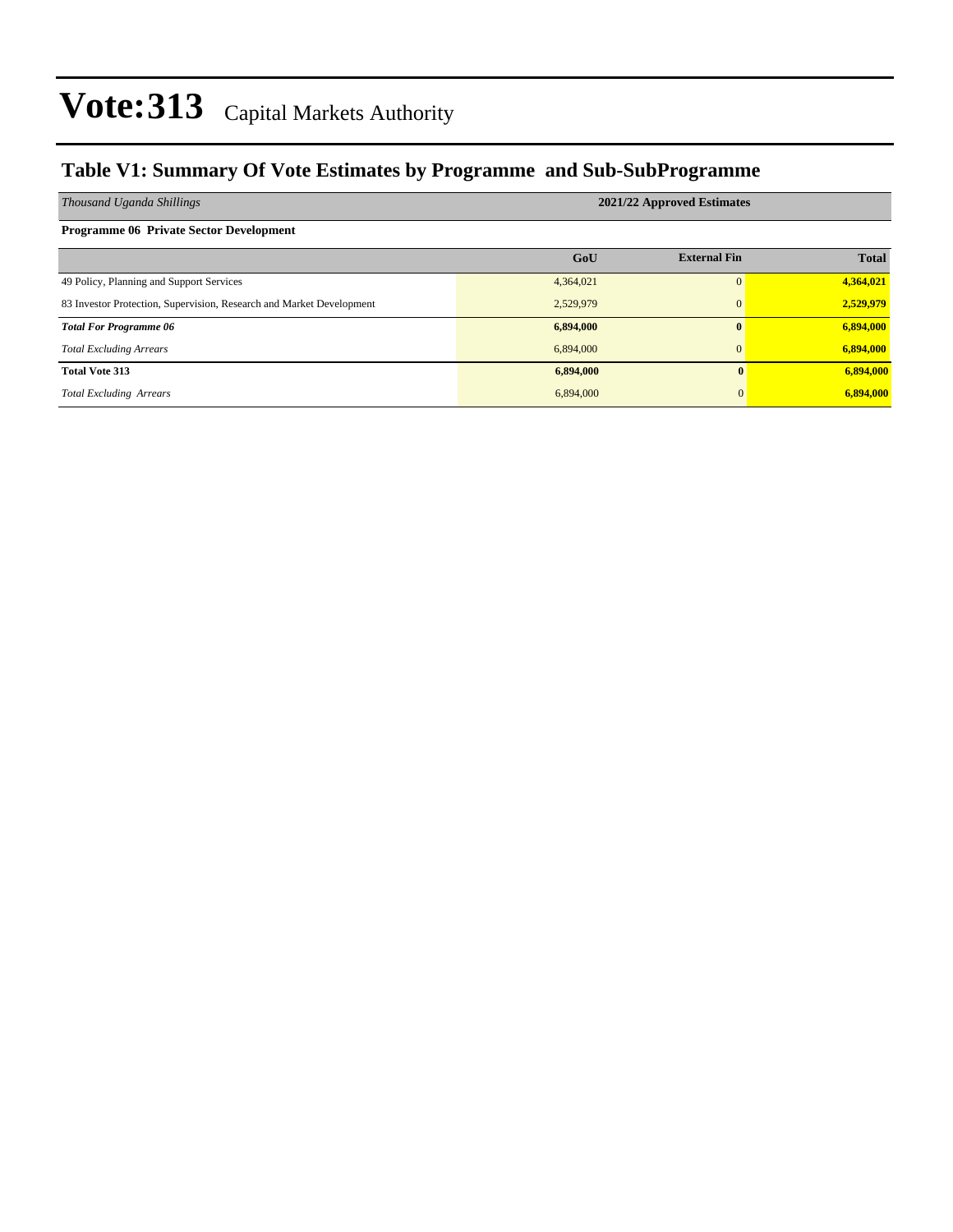### **Table V1: Summary Of Vote Estimates by Programme and Sub-SubProgramme**

| Thousand Uganda Shillings                                            | 2021/22 Approved Estimates |                     |              |  |  |  |
|----------------------------------------------------------------------|----------------------------|---------------------|--------------|--|--|--|
| <b>Programme 06 Private Sector Development</b>                       |                            |                     |              |  |  |  |
|                                                                      | GoU                        | <b>External Fin</b> | <b>Total</b> |  |  |  |
| 49 Policy, Planning and Support Services                             | 4,364,021                  | $\Omega$            | 4,364,021    |  |  |  |
| 83 Investor Protection, Supervision, Research and Market Development | 2,529,979                  | $\mathbf{0}$        | 2,529,979    |  |  |  |
| <b>Total For Programme 06</b>                                        | 6,894,000                  | $\mathbf{0}$        | 6,894,000    |  |  |  |
| <b>Total Excluding Arrears</b>                                       | 6,894,000                  | $\mathbf{0}$        | 6,894,000    |  |  |  |
| <b>Total Vote 313</b>                                                | 6,894,000                  | $\mathbf{0}$        | 6,894,000    |  |  |  |
| <b>Total Excluding Arrears</b>                                       | 6,894,000                  | $\Omega$            | 6,894,000    |  |  |  |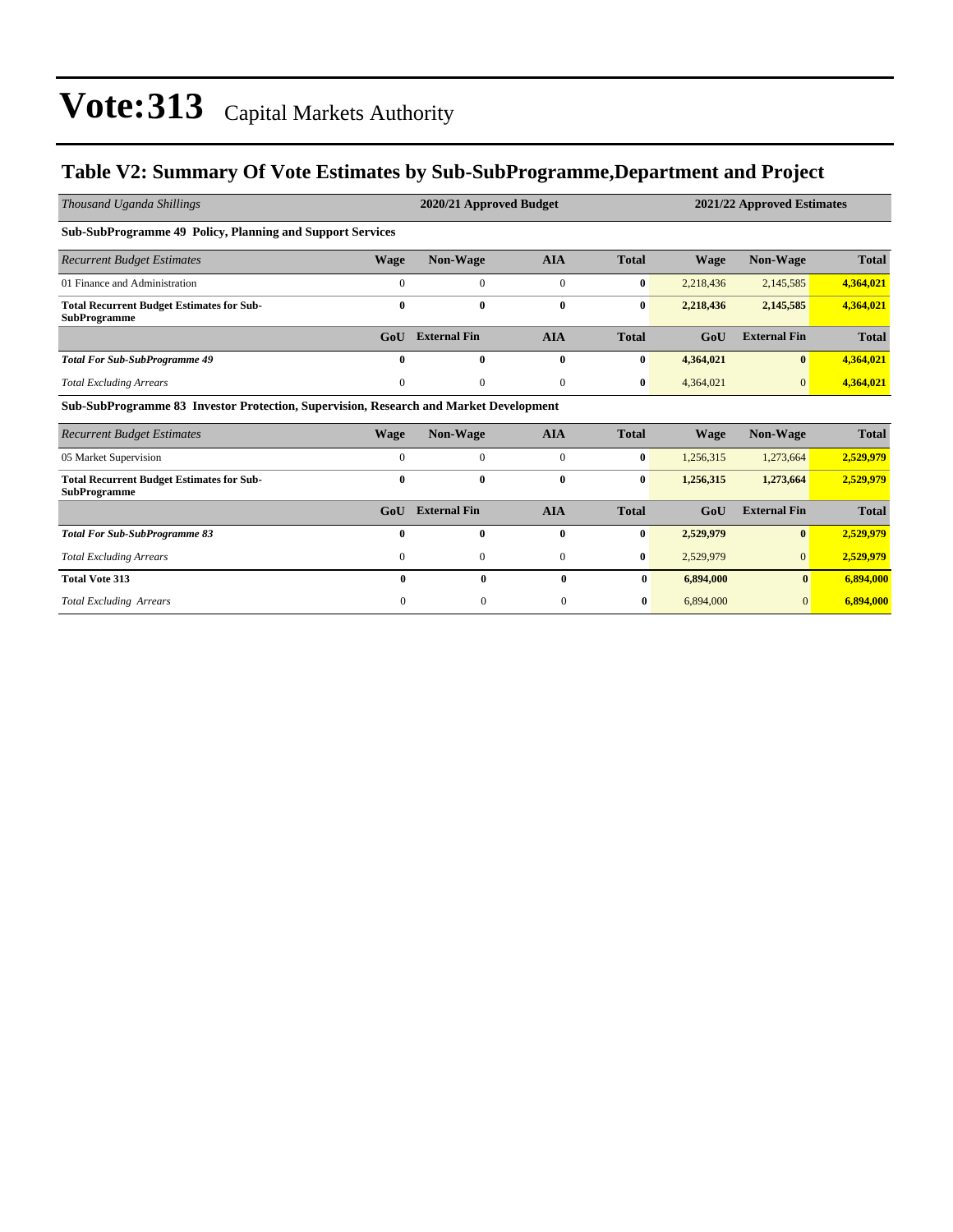### **Table V2: Summary Of Vote Estimates by Sub-SubProgramme,Department and Project**

| Thousand Uganda Shillings                                                             |              | 2020/21 Approved Budget |                |              | 2021/22 Approved Estimates |                     |              |  |
|---------------------------------------------------------------------------------------|--------------|-------------------------|----------------|--------------|----------------------------|---------------------|--------------|--|
| <b>Sub-SubProgramme 49 Policy, Planning and Support Services</b>                      |              |                         |                |              |                            |                     |              |  |
| <b>Recurrent Budget Estimates</b>                                                     | Wage         | Non-Wage                | <b>AIA</b>     | <b>Total</b> | <b>Wage</b>                | Non-Wage            | <b>Total</b> |  |
| 01 Finance and Administration                                                         | $\mathbf{0}$ | $\mathbf{0}$            | $\overline{0}$ | $\bf{0}$     | 2,218,436                  | 2,145,585           | 4,364,021    |  |
| <b>Total Recurrent Budget Estimates for Sub-</b><br><b>SubProgramme</b>               | $\bf{0}$     | $\bf{0}$                | $\bf{0}$       | $\bf{0}$     | 2,218,436                  | 2,145,585           | 4,364,021    |  |
|                                                                                       | GoU          | <b>External Fin</b>     | <b>AIA</b>     | <b>Total</b> | GoU                        | <b>External Fin</b> | <b>Total</b> |  |
| <b>Total For Sub-SubProgramme 49</b>                                                  | $\bf{0}$     | $\bf{0}$                | $\bf{0}$       | $\bf{0}$     | 4,364,021                  | $\bf{0}$            | 4,364,021    |  |
| <b>Total Excluding Arrears</b>                                                        | $\mathbf{0}$ | $\mathbf{0}$            | $\mathbf{0}$   | $\bf{0}$     | 4,364,021                  | $\mathbf{0}$        | 4,364,021    |  |
| Sub-SubProgramme 83 Investor Protection, Supervision, Research and Market Development |              |                         |                |              |                            |                     |              |  |
| <b>Recurrent Budget Estimates</b>                                                     | Wage         | <b>Non-Wage</b>         | <b>AIA</b>     | <b>Total</b> | <b>Wage</b>                | Non-Wage            | <b>Total</b> |  |
| 05 Market Supervision                                                                 | $\mathbf{0}$ | $\mathbf{0}$            | $\overline{0}$ | $\bf{0}$     | 1,256,315                  | 1,273,664           | 2,529,979    |  |
| <b>Total Recurrent Budget Estimates for Sub-</b><br><b>SubProgramme</b>               | $\bf{0}$     | $\mathbf{0}$            | $\bf{0}$       | $\bf{0}$     | 1,256,315                  | 1,273,664           | 2,529,979    |  |
|                                                                                       | GoU          | <b>External Fin</b>     | <b>AIA</b>     | <b>Total</b> | GoU                        | <b>External Fin</b> | <b>Total</b> |  |
| <b>Total For Sub-SubProgramme 83</b>                                                  | $\mathbf{0}$ | $\mathbf{0}$            | $\bf{0}$       | $\bf{0}$     | 2,529,979                  | $\mathbf{0}$        | 2,529,979    |  |
| <b>Total Excluding Arrears</b>                                                        | $\mathbf{0}$ | $\mathbf{0}$            | $\overline{0}$ | $\bf{0}$     | 2,529,979                  | $\overline{0}$      | 2,529,979    |  |
| <b>Total Vote 313</b>                                                                 | 0            | 0                       | 0              | $\bf{0}$     | 6,894,000                  | $\mathbf{0}$        | 6,894,000    |  |
| <b>Total Excluding Arrears</b>                                                        | $\Omega$     | $\Omega$                | $\mathbf{0}$   | $\bf{0}$     | 6,894,000                  | $\overline{0}$      | 6.894.000    |  |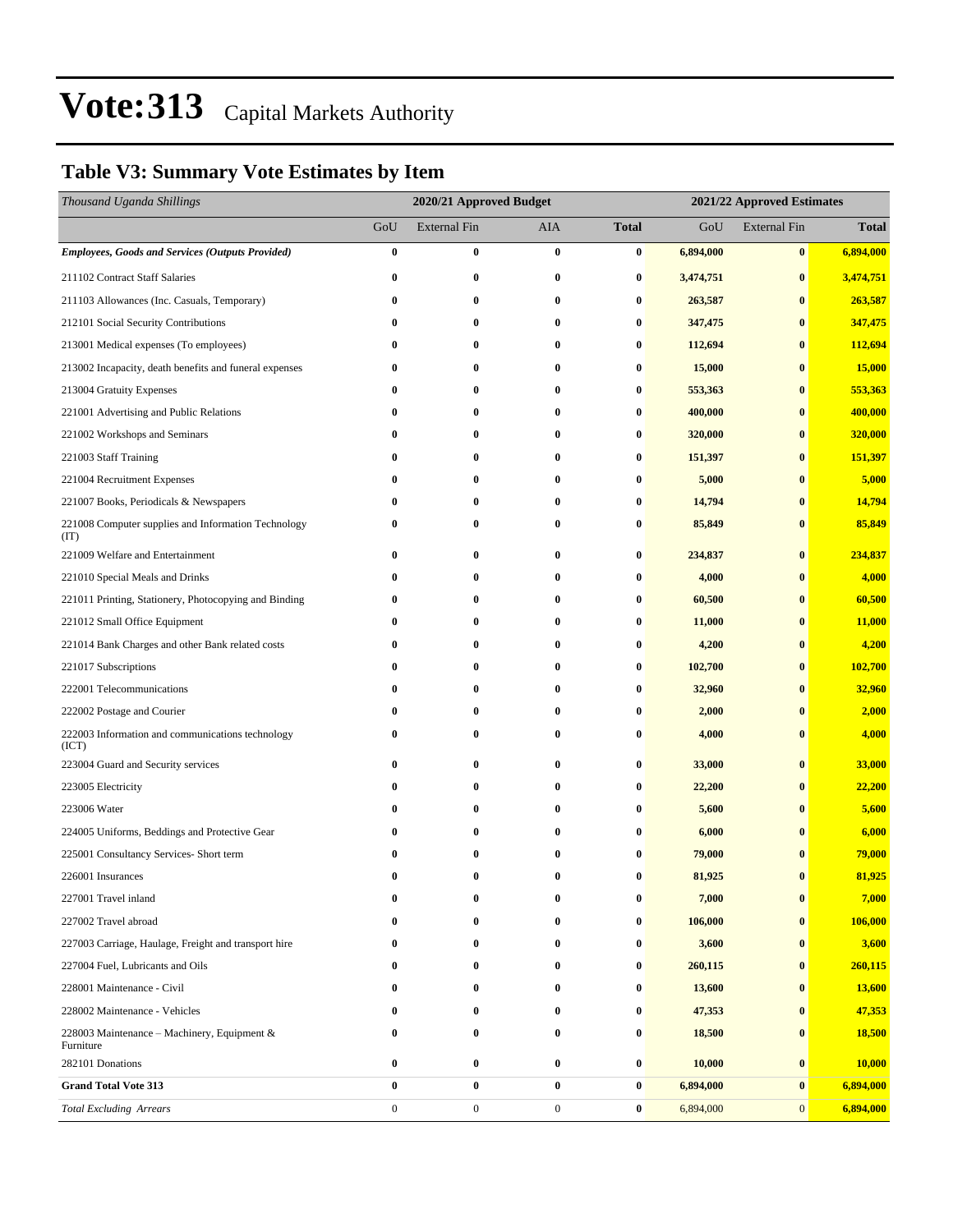### **Table V3: Summary Vote Estimates by Item**

| Thousand Uganda Shillings                                   |                | 2020/21 Approved Budget<br>2021/22 Approved Estimates |                  |                  |           |                     |              |
|-------------------------------------------------------------|----------------|-------------------------------------------------------|------------------|------------------|-----------|---------------------|--------------|
|                                                             | GoU            | <b>External Fin</b>                                   | AIA              | <b>Total</b>     | GoU       | <b>External Fin</b> | <b>Total</b> |
| <b>Employees, Goods and Services (Outputs Provided)</b>     | $\bf{0}$       | $\bf{0}$                                              | $\bf{0}$         | 0                | 6,894,000 | $\bf{0}$            | 6,894,000    |
| 211102 Contract Staff Salaries                              | $\bf{0}$       | $\bf{0}$                                              | $\bf{0}$         | $\bf{0}$         | 3,474,751 | $\bf{0}$            | 3,474,751    |
| 211103 Allowances (Inc. Casuals, Temporary)                 | $\bf{0}$       | $\bf{0}$                                              | $\bf{0}$         | 0                | 263,587   | $\bf{0}$            | 263,587      |
| 212101 Social Security Contributions                        | $\bf{0}$       | $\bf{0}$                                              | $\bf{0}$         | 0                | 347,475   | $\bf{0}$            | 347,475      |
| 213001 Medical expenses (To employees)                      | $\bf{0}$       | 0                                                     | $\bf{0}$         | 0                | 112,694   | $\bf{0}$            | 112,694      |
| 213002 Incapacity, death benefits and funeral expenses      | $\bf{0}$       | $\bf{0}$                                              | $\bf{0}$         | $\bf{0}$         | 15,000    | $\bf{0}$            | 15,000       |
| 213004 Gratuity Expenses                                    | $\bf{0}$       | 0                                                     | $\bf{0}$         | 0                | 553,363   | $\bf{0}$            | 553,363      |
| 221001 Advertising and Public Relations                     | 0              | 0                                                     | $\bf{0}$         | 0                | 400,000   | $\bf{0}$            | 400,000      |
| 221002 Workshops and Seminars                               | $\bf{0}$       | $\bf{0}$                                              | $\bf{0}$         | 0                | 320,000   | $\bf{0}$            | 320,000      |
| 221003 Staff Training                                       | $\bf{0}$       | 0                                                     | $\bf{0}$         | 0                | 151,397   | $\bf{0}$            | 151,397      |
| 221004 Recruitment Expenses                                 | $\bf{0}$       | $\bf{0}$                                              | $\bf{0}$         | $\bf{0}$         | 5,000     | $\bf{0}$            | 5,000        |
| 221007 Books, Periodicals & Newspapers                      | $\bf{0}$       | 0                                                     | $\bf{0}$         | 0                | 14,794    | $\bf{0}$            | 14,794       |
| 221008 Computer supplies and Information Technology<br>(TT) | 0              | $\bf{0}$                                              | $\bf{0}$         | 0                | 85,849    | $\bf{0}$            | 85,849       |
| 221009 Welfare and Entertainment                            | $\bf{0}$       | 0                                                     | $\bf{0}$         | 0                | 234,837   | $\bf{0}$            | 234,837      |
| 221010 Special Meals and Drinks                             | $\bf{0}$       | $\bf{0}$                                              | $\bf{0}$         | $\bf{0}$         | 4,000     | $\bf{0}$            | 4,000        |
| 221011 Printing, Stationery, Photocopying and Binding       | 0              | 0                                                     | $\bf{0}$         | 0                | 60,500    | $\bf{0}$            | 60,500       |
| 221012 Small Office Equipment                               | 0              | 0                                                     | $\bf{0}$         | 0                | 11,000    | $\bf{0}$            | 11,000       |
| 221014 Bank Charges and other Bank related costs            | $\bf{0}$       | $\bf{0}$                                              | 0                | 0                | 4,200     | $\bf{0}$            | 4,200        |
| 221017 Subscriptions                                        | $\bf{0}$       | $\bf{0}$                                              | $\bf{0}$         | 0                | 102,700   | $\bf{0}$            | 102,700      |
| 222001 Telecommunications                                   | $\bf{0}$       | $\bf{0}$                                              | $\bf{0}$         | $\bf{0}$         | 32,960    | $\bf{0}$            | 32,960       |
| 222002 Postage and Courier                                  | 0              | 0                                                     | $\bf{0}$         | 0                | 2,000     | $\bf{0}$            | 2,000        |
| 222003 Information and communications technology<br>(ICT)   | 0              | $\bf{0}$                                              | $\bf{0}$         | 0                | 4,000     | $\bf{0}$            | 4,000        |
| 223004 Guard and Security services                          | 0              | $\bf{0}$                                              | 0                | $\bf{0}$         | 33,000    | $\bf{0}$            | 33,000       |
| 223005 Electricity                                          | $\bf{0}$       | 0                                                     | $\bf{0}$         | 0                | 22,200    | $\bf{0}$            | 22,200       |
| 223006 Water                                                | 0              | 0                                                     | $\bf{0}$         | 0                | 5,600     | $\bf{0}$            | 5,600        |
| 224005 Uniforms, Beddings and Protective Gear               | $\bf{0}$       | $\bf{0}$                                              | $\bf{0}$         | 0                | 6,000     | $\bf{0}$            | 6,000        |
| 225001 Consultancy Services- Short term                     | 0              | $\bf{0}$                                              | 0                | 0                | 79,000    | $\mathbf{0}$        | 79,000       |
| 226001 Insurances                                           | $\mathbf{0}$   | 0                                                     | $\bf{0}$         | $\bf{0}$         | 81,925    | $\bf{0}$            | 81,925       |
| 227001 Travel inland                                        | 0              | 0                                                     | $\bf{0}$         | 0                | 7,000     | $\bf{0}$            | 7,000        |
| 227002 Travel abroad                                        | 0              | 0                                                     | 0                | 0                | 106,000   | $\bf{0}$            | 106,000      |
| 227003 Carriage, Haulage, Freight and transport hire        | 0              | $\bf{0}$                                              | $\bf{0}$         | $\bf{0}$         | 3,600     | $\bf{0}$            | 3,600        |
| 227004 Fuel, Lubricants and Oils                            | 0              | $\bf{0}$                                              | $\bf{0}$         | 0                | 260,115   | $\bf{0}$            | 260,115      |
| 228001 Maintenance - Civil                                  | $\bf{0}$       | 0                                                     | 0                | 0                | 13,600    | $\bf{0}$            | 13,600       |
| 228002 Maintenance - Vehicles                               | 0              | 0                                                     | $\bf{0}$         | 0                | 47,353    | $\bf{0}$            | 47,353       |
| 228003 Maintenance – Machinery, Equipment $\&$<br>Furniture | 0              | 0                                                     | $\bf{0}$         | 0                | 18,500    | $\bf{0}$            | 18,500       |
| 282101 Donations                                            | $\bf{0}$       | $\bf{0}$                                              | $\bf{0}$         | 0                | 10,000    | $\bf{0}$            | 10,000       |
| <b>Grand Total Vote 313</b>                                 | $\bf{0}$       | $\bf{0}$                                              | $\bf{0}$         | 0                | 6,894,000 | $\bf{0}$            | 6,894,000    |
| <b>Total Excluding Arrears</b>                              | $\overline{0}$ | $\boldsymbol{0}$                                      | $\boldsymbol{0}$ | $\boldsymbol{0}$ | 6,894,000 | $\mathbf{0}$        | 6,894,000    |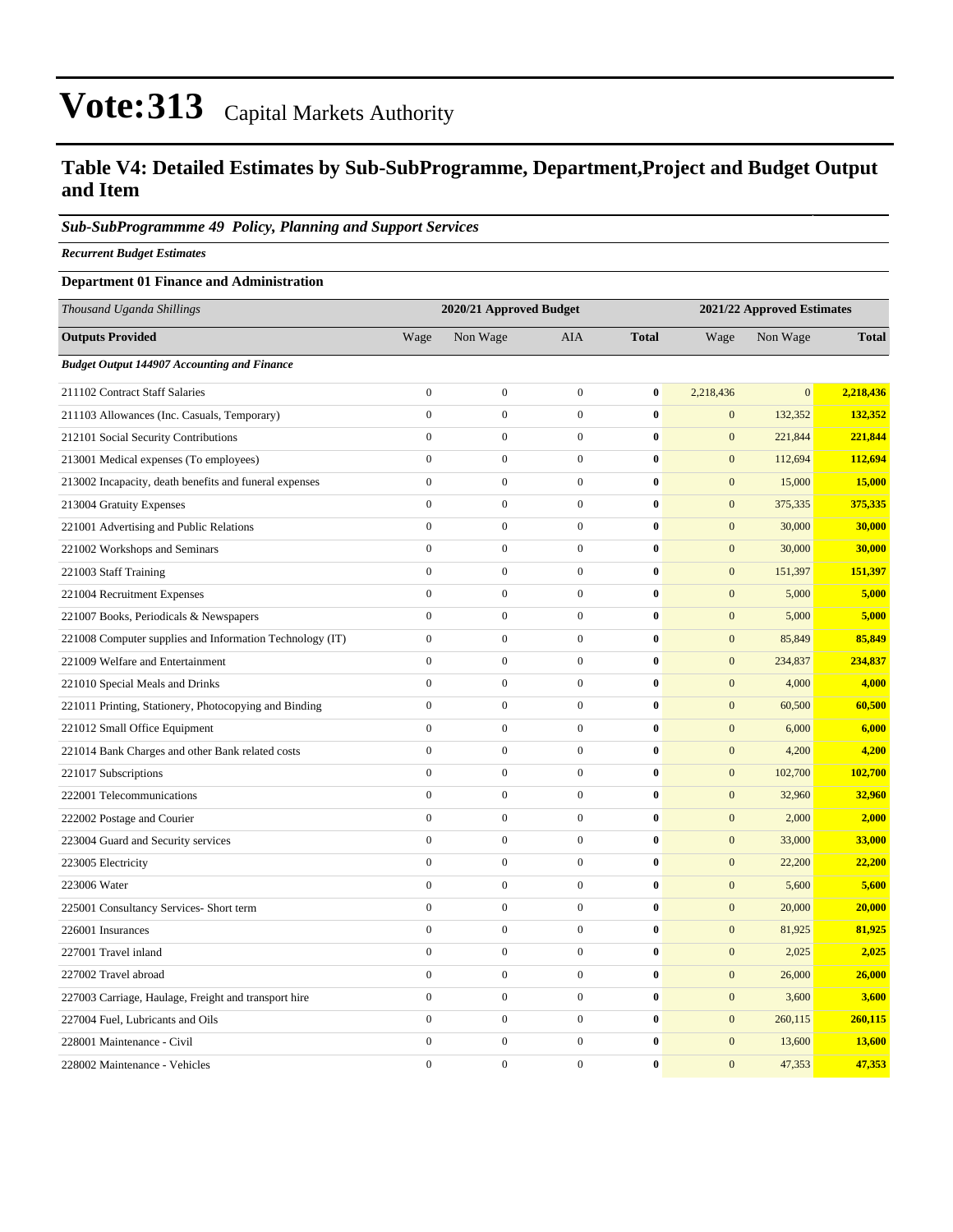### **Table V4: Detailed Estimates by Sub-SubProgramme, Department,Project and Budget Output and Item**

#### *Sub-SubProgrammme 49 Policy, Planning and Support Services*

*Recurrent Budget Estimates*

#### **Department 01 Finance and Administration**

| Thousand Uganda Shillings                                |                  | 2020/21 Approved Budget |                  | 2021/22 Approved Estimates |                  |              |              |
|----------------------------------------------------------|------------------|-------------------------|------------------|----------------------------|------------------|--------------|--------------|
| <b>Outputs Provided</b>                                  | Wage             | Non Wage                | AIA              | <b>Total</b>               | Wage             | Non Wage     | <b>Total</b> |
| <b>Budget Output 144907 Accounting and Finance</b>       |                  |                         |                  |                            |                  |              |              |
| 211102 Contract Staff Salaries                           | $\mathbf{0}$     | $\mathbf{0}$            | $\overline{0}$   | $\bf{0}$                   | 2,218,436        | $\mathbf{0}$ | 2,218,436    |
| 211103 Allowances (Inc. Casuals, Temporary)              | $\mathbf{0}$     | $\boldsymbol{0}$        | $\overline{0}$   | $\bf{0}$                   | $\mathbf{0}$     | 132,352      | 132,352      |
| 212101 Social Security Contributions                     | $\mathbf{0}$     | $\boldsymbol{0}$        | $\overline{0}$   | $\bf{0}$                   | $\mathbf{0}$     | 221,844      | 221,844      |
| 213001 Medical expenses (To employees)                   | $\mathbf{0}$     | $\boldsymbol{0}$        | $\overline{0}$   | $\bf{0}$                   | $\boldsymbol{0}$ | 112,694      | 112,694      |
| 213002 Incapacity, death benefits and funeral expenses   | $\boldsymbol{0}$ | $\boldsymbol{0}$        | $\boldsymbol{0}$ | $\bf{0}$                   | $\mathbf{0}$     | 15,000       | 15,000       |
| 213004 Gratuity Expenses                                 | $\boldsymbol{0}$ | $\boldsymbol{0}$        | $\overline{0}$   | $\bf{0}$                   | $\mathbf{0}$     | 375,335      | 375,335      |
| 221001 Advertising and Public Relations                  | $\mathbf{0}$     | $\boldsymbol{0}$        | $\overline{0}$   | $\bf{0}$                   | $\boldsymbol{0}$ | 30,000       | 30,000       |
| 221002 Workshops and Seminars                            | $\mathbf{0}$     | $\boldsymbol{0}$        | $\boldsymbol{0}$ | $\pmb{0}$                  | $\mathbf{0}$     | 30,000       | 30,000       |
| 221003 Staff Training                                    | $\mathbf{0}$     | $\boldsymbol{0}$        | $\overline{0}$   | $\bf{0}$                   | $\mathbf{0}$     | 151,397      | 151,397      |
| 221004 Recruitment Expenses                              | $\mathbf{0}$     | $\boldsymbol{0}$        | $\boldsymbol{0}$ | $\bf{0}$                   | $\mathbf{0}$     | 5,000        | 5,000        |
| 221007 Books, Periodicals & Newspapers                   | $\mathbf{0}$     | $\boldsymbol{0}$        | $\boldsymbol{0}$ | $\bf{0}$                   | $\mathbf{0}$     | 5,000        | 5,000        |
| 221008 Computer supplies and Information Technology (IT) | $\boldsymbol{0}$ | $\boldsymbol{0}$        | $\boldsymbol{0}$ | $\bf{0}$                   | $\mathbf{0}$     | 85,849       | 85,849       |
| 221009 Welfare and Entertainment                         | $\boldsymbol{0}$ | $\boldsymbol{0}$        | $\overline{0}$   | $\bf{0}$                   | $\boldsymbol{0}$ | 234,837      | 234,837      |
| 221010 Special Meals and Drinks                          | $\boldsymbol{0}$ | $\boldsymbol{0}$        | $\overline{0}$   | $\bf{0}$                   | $\mathbf{0}$     | 4,000        | 4,000        |
| 221011 Printing, Stationery, Photocopying and Binding    | $\mathbf{0}$     | $\boldsymbol{0}$        | $\overline{0}$   | $\bf{0}$                   | $\mathbf{0}$     | 60,500       | 60,500       |
| 221012 Small Office Equipment                            | $\mathbf{0}$     | $\mathbf{0}$            | $\overline{0}$   | $\bf{0}$                   | $\mathbf{0}$     | 6,000        | 6,000        |
| 221014 Bank Charges and other Bank related costs         | $\mathbf{0}$     | $\boldsymbol{0}$        | $\boldsymbol{0}$ | $\bf{0}$                   | $\mathbf{0}$     | 4,200        | 4,200        |
| 221017 Subscriptions                                     | $\mathbf{0}$     | $\boldsymbol{0}$        | $\boldsymbol{0}$ | $\bf{0}$                   | $\mathbf{0}$     | 102,700      | 102,700      |
| 222001 Telecommunications                                | $\mathbf{0}$     | $\boldsymbol{0}$        | $\overline{0}$   | $\bf{0}$                   | $\mathbf{0}$     | 32,960       | 32,960       |
| 222002 Postage and Courier                               | $\boldsymbol{0}$ | $\boldsymbol{0}$        | $\overline{0}$   | $\bf{0}$                   | $\mathbf{0}$     | 2,000        | 2,000        |
| 223004 Guard and Security services                       | $\boldsymbol{0}$ | $\boldsymbol{0}$        | $\boldsymbol{0}$ | $\bf{0}$                   | $\mathbf{0}$     | 33,000       | 33,000       |
| 223005 Electricity                                       | $\mathbf{0}$     | $\boldsymbol{0}$        | $\overline{0}$   | $\bf{0}$                   | $\mathbf{0}$     | 22,200       | 22,200       |
| 223006 Water                                             | $\mathbf{0}$     | $\boldsymbol{0}$        | $\overline{0}$   | $\bf{0}$                   | $\mathbf{0}$     | 5,600        | 5,600        |
| 225001 Consultancy Services- Short term                  | $\mathbf{0}$     | $\boldsymbol{0}$        | $\boldsymbol{0}$ | $\bf{0}$                   | $\mathbf{0}$     | 20,000       | 20,000       |
| 226001 Insurances                                        | $\mathbf{0}$     | $\boldsymbol{0}$        | $\overline{0}$   | $\bf{0}$                   | $\mathbf{0}$     | 81,925       | 81,925       |
| 227001 Travel inland                                     | $\boldsymbol{0}$ | $\boldsymbol{0}$        | $\overline{0}$   | $\bf{0}$                   | $\mathbf{0}$     | 2,025        | 2,025        |
| 227002 Travel abroad                                     | $\boldsymbol{0}$ | $\boldsymbol{0}$        | $\boldsymbol{0}$ | $\bf{0}$                   | $\mathbf{0}$     | 26,000       | 26,000       |
| 227003 Carriage, Haulage, Freight and transport hire     | $\boldsymbol{0}$ | $\boldsymbol{0}$        | $\overline{0}$   | $\bf{0}$                   | $\boldsymbol{0}$ | 3,600        | 3,600        |
| 227004 Fuel, Lubricants and Oils                         | $\mathbf{0}$     | $\boldsymbol{0}$        | $\overline{0}$   | $\bf{0}$                   | $\mathbf{0}$     | 260,115      | 260,115      |
| 228001 Maintenance - Civil                               | $\mathbf{0}$     | $\boldsymbol{0}$        | $\overline{0}$   | $\bf{0}$                   | $\mathbf{0}$     | 13,600       | 13,600       |
| 228002 Maintenance - Vehicles                            | $\theta$         | $\overline{0}$          | $\Omega$         | $\bf{0}$                   | $\overline{0}$   | 47,353       | 47,353       |